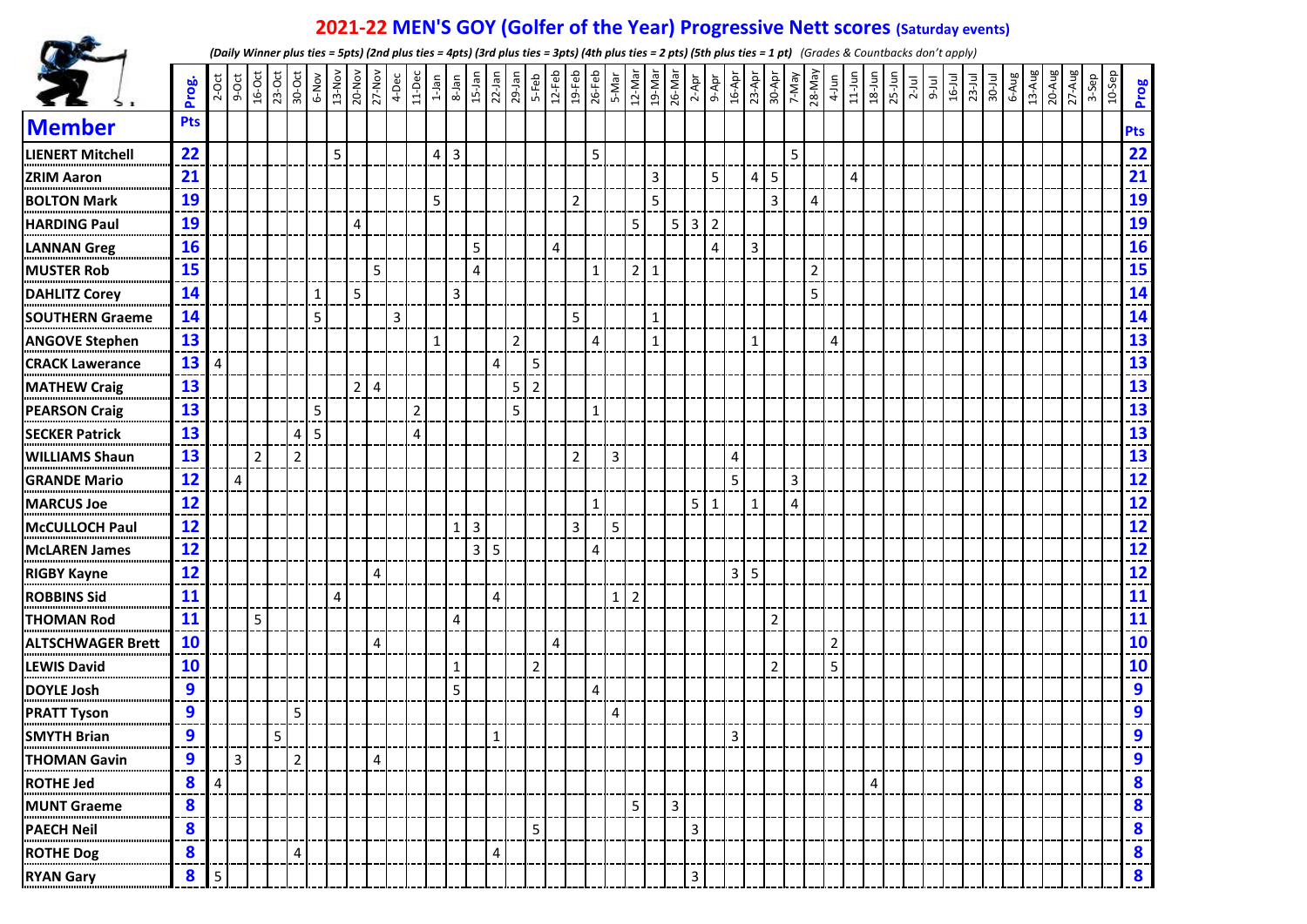## **2021-22 MEN'S GOY (Golfer of the Year) Progressive Nett scores (Saturday events)**



*(Daily Winner plus ties = 5pts) (2nd plus ties = 4pts) (3rd plus ties = 3pts) (4th plus ties = 2 pts) (5th plus ties = 1 pt) (Grades & Countbacks don't apply)*

|                          | Prog.      | $2-5ct$ | $9-Oct$      |                |   |                |              |   | 20-Nov                  | 4-Dec          |                | $11-Dec$<br>$1-Jan$     |                | $8-$ Jan<br>15-Jan | $22$ -Jan      |                | $29$ -Jan<br>5-Feb |   |                | $\frac{12-Feb}{19-Feb}$ | 5-Mar<br>12-Mar |                | 19-Mar       | $\frac{26\text{-}\text{Mar}}{2\text{-}\text{Apr}}$ |   |                | 16-Apr<br>23-Apr        |                | 30-Apr<br>7-May |                | 28-May         | $4$ -Jun<br>11-Jun | $18 - Jun$     |   | $25-$ Jun | $2$ -Jul | $\begin{array}{c c}\n9-1 \text{u1} \\ \hline\n16-1 \text{u1} \\ 23-1 \text{u1} \\ \hline\n30-1 \text{u1} \\ 6-1 \text{u1} \\ \hline\n13-1 \text{u2} \\ \hline\n13-1 \text{u2} \\ \hline\n\end{array}$ |  |  | 20-Aug<br>27-Aug | 3-Sep | $10-$ Sep | Prog                             |
|--------------------------|------------|---------|--------------|----------------|---|----------------|--------------|---|-------------------------|----------------|----------------|-------------------------|----------------|--------------------|----------------|----------------|--------------------|---|----------------|-------------------------|-----------------|----------------|--------------|----------------------------------------------------|---|----------------|-------------------------|----------------|-----------------|----------------|----------------|--------------------|----------------|---|-----------|----------|-------------------------------------------------------------------------------------------------------------------------------------------------------------------------------------------------------|--|--|------------------|-------|-----------|----------------------------------|
| <b>Member</b>            | <b>Pts</b> |         |              |                |   |                |              |   |                         |                |                |                         |                |                    |                |                |                    |   |                |                         |                 |                |              |                                                    |   |                |                         |                |                 |                |                |                    |                |   |           |          |                                                                                                                                                                                                       |  |  |                  |       |           | <b>Pts</b>                       |
| <b>LIENERT Mitchell</b>  | 22         |         |              |                |   |                |              | 5 |                         |                |                | $\overline{\mathbf{4}}$ | $\overline{3}$ |                    |                |                |                    |   |                | 5                       |                 |                |              |                                                    |   |                |                         |                |                 | 5              |                |                    |                |   |           |          |                                                                                                                                                                                                       |  |  |                  |       |           | $\frac{22}{1}$                   |
| <b>ZRIM Aaron</b>        | 21         |         |              |                |   |                |              |   |                         |                |                |                         |                |                    |                |                |                    |   |                |                         |                 |                | 3            |                                                    |   | 5              |                         | $\overline{4}$ | 5               |                |                |                    | $\overline{4}$ |   |           |          |                                                                                                                                                                                                       |  |  |                  |       |           | $\frac{21}{1}$                   |
| <b>BOLTON Mark</b>       | 19         |         |              |                |   |                |              |   |                         |                |                | 5                       |                |                    |                |                |                    |   | $\overline{2}$ |                         |                 |                | 5            |                                                    |   |                |                         |                | 3               |                | 4              |                    |                |   |           |          |                                                                                                                                                                                                       |  |  |                  |       |           |                                  |
| <b>HARDING Paul</b>      | 19         |         |              |                |   |                |              |   | $\overline{\mathbf{4}}$ |                |                |                         |                |                    |                |                |                    |   |                |                         |                 | 5              |              | $5 \mid 3$                                         |   | $\overline{2}$ |                         |                |                 |                |                |                    |                |   |           |          |                                                                                                                                                                                                       |  |  |                  |       |           |                                  |
| <b>LANNAN Greg</b>       | 16         |         |              |                |   |                |              |   |                         |                |                |                         |                | 5                  |                |                |                    | 4 |                |                         |                 |                |              |                                                    |   | 4              |                         | $\overline{3}$ |                 |                |                |                    |                |   |           |          |                                                                                                                                                                                                       |  |  |                  |       |           | 19<br>19<br>16<br>15<br>14<br>14 |
| <b>MUSTER Rob</b>        | 15         |         |              |                |   |                |              |   |                         | 5              |                |                         |                | $\overline{4}$     |                |                |                    |   |                | $\mathbf{1}$            |                 | $\overline{2}$ | $\mathbf{1}$ |                                                    |   |                |                         |                |                 |                | $\overline{2}$ |                    |                |   |           |          |                                                                                                                                                                                                       |  |  |                  |       |           |                                  |
| <b>DAHLITZ Corey</b>     | 14         |         |              |                |   |                | $\mathbf{1}$ |   | 5                       |                |                |                         | 3              |                    |                |                |                    |   |                |                         |                 |                |              |                                                    |   |                |                         |                |                 |                | 5              |                    |                |   |           |          |                                                                                                                                                                                                       |  |  |                  |       |           |                                  |
| <b>SOUTHERN Graeme</b>   | 14         |         |              |                |   |                | 5            |   |                         | 3              |                |                         |                |                    |                |                |                    |   | 5              |                         |                 |                | 1            |                                                    |   |                |                         |                |                 |                |                |                    |                |   |           |          |                                                                                                                                                                                                       |  |  |                  |       |           |                                  |
| <b>ANGOVE Stephen</b>    | 13         |         |              |                |   |                |              |   |                         |                |                | $\mathbf{1}$            |                |                    |                | $\overline{2}$ |                    |   |                | 4                       |                 |                | $\mathbf{1}$ |                                                    |   |                |                         | $\mathbf{1}$   |                 |                |                | $\overline{4}$     |                |   |           |          |                                                                                                                                                                                                       |  |  |                  |       |           |                                  |
| <b>CRACK Lawerance</b>   | 13         | 4       |              |                |   |                |              |   |                         |                |                |                         |                |                    | 4              |                | 5                  |   |                |                         |                 |                |              |                                                    |   |                |                         |                |                 |                |                |                    |                |   |           |          |                                                                                                                                                                                                       |  |  |                  |       |           |                                  |
| <b>MATHEW Craig</b>      | 13         |         |              |                |   |                |              |   | 2 <sup>1</sup>          | $\overline{4}$ |                |                         |                |                    |                | 5              | $\overline{2}$     |   |                |                         |                 |                |              |                                                    |   |                |                         |                |                 |                |                |                    |                |   |           |          |                                                                                                                                                                                                       |  |  |                  |       |           |                                  |
| <b>PEARSON Craig</b>     | 13         |         |              |                |   |                | 5            |   |                         |                | $\overline{2}$ |                         |                |                    |                | 5              |                    |   |                | 1                       |                 |                |              |                                                    |   |                |                         |                |                 |                |                |                    |                |   |           |          |                                                                                                                                                                                                       |  |  |                  |       |           |                                  |
| <b>SECKER Patrick</b>    | 13         |         |              |                |   | 4              | 5            |   |                         |                | $\overline{4}$ |                         |                |                    |                |                |                    |   |                |                         |                 |                |              |                                                    |   |                |                         |                |                 |                |                |                    |                |   |           |          |                                                                                                                                                                                                       |  |  |                  |       |           |                                  |
| <b>WILLIAMS Shaun</b>    | 13         |         |              | $\overline{2}$ |   | $\overline{2}$ |              |   |                         |                |                |                         |                |                    |                |                |                    |   | $\overline{2}$ |                         | 3               |                |              |                                                    |   |                | $\overline{\mathbf{4}}$ |                |                 |                |                |                    |                |   |           |          |                                                                                                                                                                                                       |  |  |                  |       |           |                                  |
| <b>GRANDE Mario</b>      | 12         |         | 4            |                |   |                |              |   |                         |                |                |                         |                |                    |                |                |                    |   |                |                         |                 |                |              |                                                    |   |                | 5                       |                |                 | 3              |                |                    |                |   |           |          |                                                                                                                                                                                                       |  |  |                  |       |           |                                  |
| <b>MARCUS Joe</b>        | 12         |         |              |                |   |                |              |   |                         |                |                |                         |                |                    |                |                |                    |   |                | 1                       |                 |                |              |                                                    | 5 | 1              |                         | $\mathbf{1}$   |                 | $\overline{4}$ |                |                    |                |   |           |          |                                                                                                                                                                                                       |  |  |                  |       |           |                                  |
| <b>McCULLOCH Paul</b>    | 12         |         |              |                |   |                |              |   |                         |                |                |                         | 1              | 3                  |                |                |                    |   | 3              |                         | 5               |                |              |                                                    |   |                |                         |                |                 |                |                |                    |                |   |           |          |                                                                                                                                                                                                       |  |  |                  |       |           |                                  |
| <b>McLAREN James</b>     | 12         |         |              |                |   |                |              |   |                         |                |                |                         |                | $\overline{3}$     | 5              |                |                    |   |                | 4                       |                 |                |              |                                                    |   |                |                         |                |                 |                |                |                    |                |   |           |          |                                                                                                                                                                                                       |  |  |                  |       |           |                                  |
| <b>RIGBY Kayne</b>       | 12         |         |              |                |   |                |              |   |                         | 4              |                |                         |                |                    |                |                |                    |   |                |                         |                 |                |              |                                                    |   |                | $\overline{3}$          | 5              |                 |                |                |                    |                |   |           |          |                                                                                                                                                                                                       |  |  |                  |       |           |                                  |
| <b>ROBBINS Sid</b>       | 11         |         |              |                |   |                |              | 4 |                         |                |                |                         |                |                    | $\overline{4}$ |                |                    |   |                |                         | $1\vert$        | $\overline{2}$ |              |                                                    |   |                |                         |                |                 |                |                |                    |                |   |           |          |                                                                                                                                                                                                       |  |  |                  |       |           |                                  |
| <b>THOMAN Rod</b>        | 11         |         |              | 5              |   |                |              |   |                         |                |                |                         | 4              |                    |                |                |                    |   |                |                         |                 |                |              |                                                    |   |                |                         |                | $\overline{2}$  |                |                |                    |                |   |           |          |                                                                                                                                                                                                       |  |  |                  |       |           |                                  |
| <b>ALTSCHWAGER Brett</b> | 10         |         |              |                |   |                |              |   |                         | 4              |                |                         |                |                    |                |                |                    | 4 |                |                         |                 |                |              |                                                    |   |                |                         |                |                 |                |                | $\overline{2}$     |                |   |           |          |                                                                                                                                                                                                       |  |  |                  |       |           |                                  |
| <b>LEWIS David</b>       | 10         |         |              |                |   |                |              |   |                         |                |                |                         | 1              |                    |                |                | $\overline{2}$     |   |                |                         |                 |                |              |                                                    |   |                |                         |                | $\overline{2}$  |                |                | 5                  |                |   |           |          |                                                                                                                                                                                                       |  |  |                  |       |           | $\overline{10}$                  |
| <b>DOYLE Josh</b>        | 9          |         |              |                |   |                |              |   |                         |                |                |                         | 5              |                    |                |                |                    |   |                | 4                       |                 |                |              |                                                    |   |                |                         |                |                 |                |                |                    |                |   |           |          |                                                                                                                                                                                                       |  |  |                  |       |           | 9<br>---                         |
| <b>PRATT Tyson</b>       | 9          |         |              |                |   | 5              |              |   |                         |                |                |                         |                |                    |                |                |                    |   |                |                         | 4               |                |              |                                                    |   |                |                         |                |                 |                |                |                    |                |   |           |          |                                                                                                                                                                                                       |  |  |                  |       |           | 9                                |
| <b>SMYTH Brian</b>       | 9          |         |              |                | 5 |                |              |   |                         |                |                |                         |                |                    | 1              |                |                    |   |                |                         |                 |                |              |                                                    |   |                | $\overline{3}$          |                |                 |                |                |                    |                |   |           |          |                                                                                                                                                                                                       |  |  |                  |       |           | 9<br>---                         |
| <b>THOMAN Gavin</b>      | $\bullet$  |         | $\mathbf{R}$ |                |   | $\mathcal{L}$  |              |   |                         | $\Delta$       |                |                         |                |                    |                |                |                    |   |                |                         |                 |                |              |                                                    |   |                |                         |                |                 |                |                |                    |                |   |           |          |                                                                                                                                                                                                       |  |  |                  |       |           | $\mathbf{q}$<br>$- -$            |
| <b>ROTHE Jed</b>         | 8          | 4       |              |                |   |                |              |   |                         |                |                |                         |                |                    |                |                |                    |   |                |                         |                 |                |              |                                                    |   |                |                         |                |                 |                |                |                    |                | 4 |           |          |                                                                                                                                                                                                       |  |  |                  |       |           | $\boldsymbol{8}$<br>.            |
| MUNT Graeme              | 8          |         |              |                |   |                |              |   |                         |                |                |                         |                |                    |                |                |                    |   |                |                         |                 | 5              |              | 3                                                  |   |                |                         |                |                 |                |                |                    |                |   |           |          |                                                                                                                                                                                                       |  |  |                  |       |           | 8<br>.                           |
| <b>PAECH Neil</b>        | 8          |         |              |                |   |                |              |   |                         |                |                |                         |                |                    |                |                | 5                  |   |                |                         |                 |                |              |                                                    | 3 |                |                         |                |                 |                |                |                    |                |   |           |          |                                                                                                                                                                                                       |  |  |                  |       |           | $\boldsymbol{8}$<br>---          |
| ROTHE Dog                | 8          |         |              |                |   | 4              |              |   |                         |                |                |                         |                |                    | 4              |                |                    |   |                |                         |                 |                |              |                                                    |   |                |                         |                |                 |                |                |                    |                |   |           |          |                                                                                                                                                                                                       |  |  |                  |       |           | $\boldsymbol{8}$<br>---          |
| <b>RYAN Gary</b>         | 8          | 5       |              |                |   |                |              |   |                         |                |                |                         |                |                    |                |                |                    |   |                |                         |                 |                |              |                                                    | 3 |                |                         |                |                 |                |                |                    |                |   |           |          |                                                                                                                                                                                                       |  |  |                  |       |           | 8                                |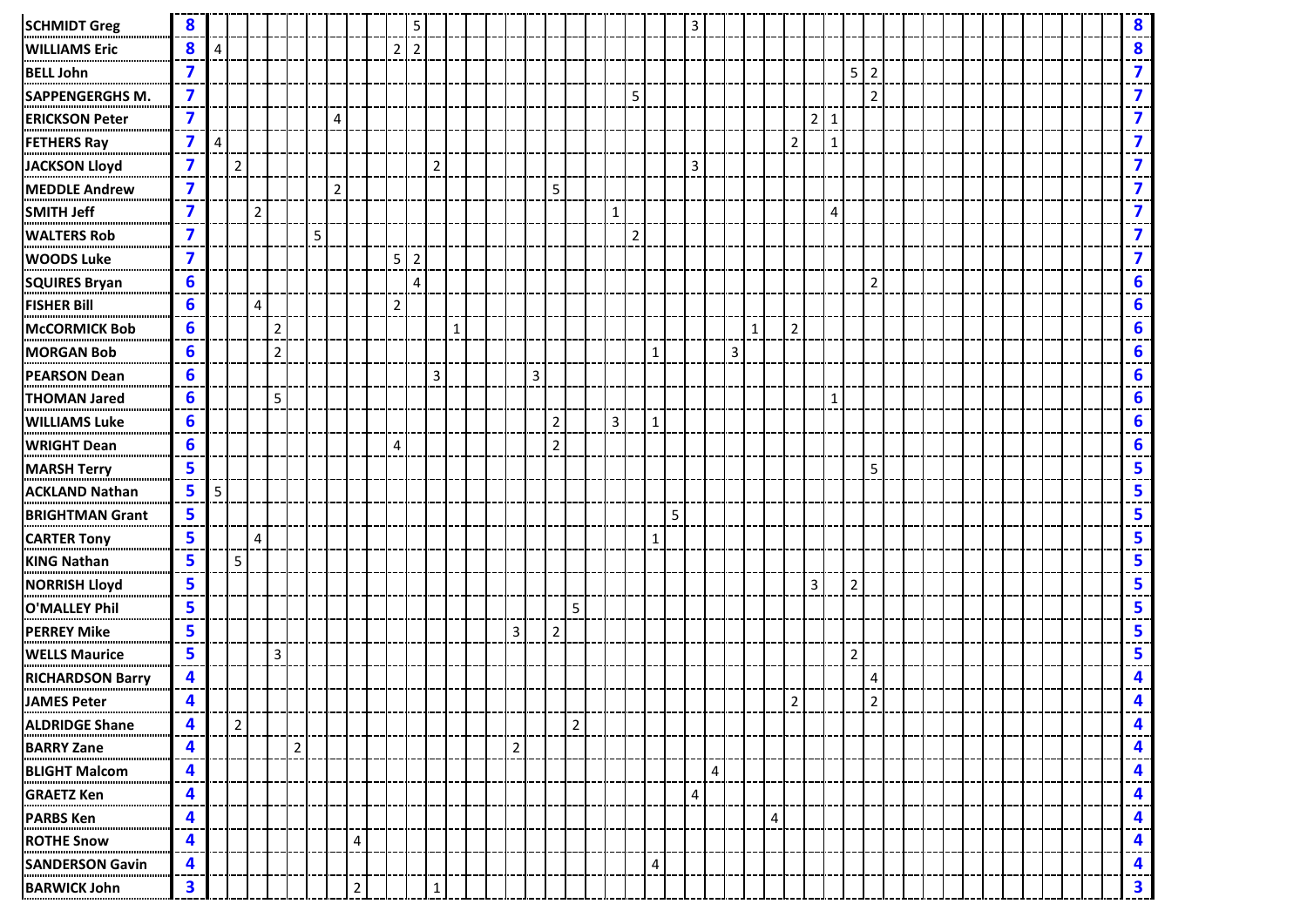| <b>SCHMIDT Greg</b>     | 8                       |   |                |                         |                |                |   |                |                |                | 5              |                |              |  |                |   |                |                |              |                |              | 3              |   |   |             |                |                |              |                |                |  |  |  |  |  | 8                       |
|-------------------------|-------------------------|---|----------------|-------------------------|----------------|----------------|---|----------------|----------------|----------------|----------------|----------------|--------------|--|----------------|---|----------------|----------------|--------------|----------------|--------------|----------------|---|---|-------------|----------------|----------------|--------------|----------------|----------------|--|--|--|--|--|-------------------------|
| <b>WILLIAMS Eric</b>    | 8                       | Δ |                |                         |                |                |   |                |                | $\overline{2}$ | $\overline{2}$ |                |              |  |                |   |                |                |              |                |              |                |   |   |             |                |                |              |                |                |  |  |  |  |  | 8                       |
| <b>BELL John</b>        | 7                       |   |                |                         |                |                |   |                |                |                |                |                |              |  |                |   |                |                |              |                |              |                |   |   |             |                |                |              | 5 2            |                |  |  |  |  |  | $\overline{\mathbf{z}}$ |
| SAPPENGERGHS M.         | $\overline{\mathbf{z}}$ |   |                |                         |                |                |   |                |                |                |                |                |              |  |                |   |                |                |              | 5              |              |                |   |   |             |                |                |              |                | $\overline{2}$ |  |  |  |  |  | $\overline{\mathbf{z}}$ |
| <b>ERICKSON Peter</b>   | $\overline{\mathbf{z}}$ |   |                |                         |                |                |   | 4              |                |                |                |                |              |  |                |   |                |                |              |                |              |                |   |   |             |                | $\overline{2}$ | $1\,$        |                |                |  |  |  |  |  | $\overline{\mathbf{z}}$ |
| <b>FETHERS Ray</b>      | 7                       | Δ |                |                         |                |                |   |                |                |                |                |                |              |  |                |   |                |                |              |                |              |                |   |   |             | $\overline{2}$ |                | $\mathbf{1}$ |                |                |  |  |  |  |  | $\overline{\mathbf{z}}$ |
| <b>JACKSON Lloyd</b>    | $\overline{\mathbf{z}}$ |   | $\overline{2}$ |                         |                |                |   |                |                |                |                | $\overline{2}$ |              |  |                |   |                |                |              |                |              | $\overline{3}$ |   |   |             |                |                |              |                |                |  |  |  |  |  | $\overline{\mathbf{z}}$ |
| <b>MEDDLE Andrew</b>    | 7                       |   |                |                         |                |                |   | $\overline{2}$ |                |                |                |                |              |  |                |   | 5              |                |              |                |              |                |   |   |             |                |                |              |                |                |  |  |  |  |  | $\overline{\mathbf{z}}$ |
| <b>SMITH Jeff</b>       | 7                       |   |                | $\overline{2}$          |                |                |   |                |                |                |                |                |              |  |                |   |                |                | $\mathbf{1}$ |                |              |                |   |   |             |                |                | 4            |                |                |  |  |  |  |  | $\overline{\mathbf{z}}$ |
| <b>WALTERS Rob</b>      | 7                       |   |                |                         |                |                | 5 |                |                |                |                |                |              |  |                |   |                |                |              | $\overline{2}$ |              |                |   |   |             |                |                |              |                |                |  |  |  |  |  | $\overline{\mathbf{z}}$ |
| <b>WOODS Luke</b>       | 7                       |   |                |                         |                |                |   |                |                | 5              | 2              |                |              |  |                |   |                |                |              |                |              |                |   |   |             |                |                |              |                |                |  |  |  |  |  | $\overline{\mathbf{z}}$ |
| <b>SQUIRES Bryan</b>    | 6                       |   |                |                         |                |                |   |                |                |                | 4              |                |              |  |                |   |                |                |              |                |              |                |   |   |             |                |                |              |                | $\overline{2}$ |  |  |  |  |  | 6                       |
| <b>FISHER Bill</b>      | 6                       |   |                | 4                       |                |                |   |                |                | $\overline{2}$ |                |                |              |  |                |   |                |                |              |                |              |                |   |   |             |                |                |              |                |                |  |  |  |  |  | 6                       |
| <b>McCORMICK Bob</b>    | 6                       |   |                |                         | $\overline{2}$ |                |   |                |                |                |                |                | $\mathbf{1}$ |  |                |   |                |                |              |                |              |                |   |   | $\mathbf 1$ | $\overline{2}$ |                |              |                |                |  |  |  |  |  | 6                       |
| <b>MORGAN Bob</b>       | 6                       |   |                |                         | 2 <sup>1</sup> |                |   |                |                |                |                |                |              |  |                |   |                |                |              |                | $\mathbf{1}$ |                |   | 3 |             |                |                |              |                |                |  |  |  |  |  | 6                       |
| <b>PEARSON Dean</b>     | 6                       |   |                |                         |                |                |   |                |                |                |                | $\overline{3}$ |              |  |                | 3 |                |                |              |                |              |                |   |   |             |                |                |              |                |                |  |  |  |  |  | 6                       |
| <b>THOMAN Jared</b>     | 6                       |   |                |                         | 5 <sup>1</sup> |                |   |                |                |                |                |                |              |  |                |   |                |                |              |                |              |                |   |   |             |                |                | $\mathbf{1}$ |                |                |  |  |  |  |  | 6                       |
| <b>WILLIAMS Luke</b>    | 6                       |   |                |                         |                |                |   |                |                |                |                |                |              |  |                |   | $\overline{2}$ |                | 3            |                | $\mathbf{1}$ |                |   |   |             |                |                |              |                |                |  |  |  |  |  | 6                       |
| <b>WRIGHT Dean</b>      | 6                       |   |                |                         |                |                |   |                |                | 4              |                |                |              |  |                |   | $\overline{2}$ |                |              |                |              |                |   |   |             |                |                |              |                |                |  |  |  |  |  | 6                       |
| <b>MARSH Terry</b>      | 5                       |   |                |                         |                |                |   |                |                |                |                |                |              |  |                |   |                |                |              |                |              |                |   |   |             |                |                |              |                | 5              |  |  |  |  |  | 5                       |
| <b>ACKLAND Nathan</b>   | 5                       | 5 |                |                         |                |                |   |                |                |                |                |                |              |  |                |   |                |                |              |                |              |                |   |   |             |                |                |              |                |                |  |  |  |  |  | 5                       |
| <b>BRIGHTMAN Grant</b>  | 5                       |   |                |                         |                |                |   |                |                |                |                |                |              |  |                |   |                |                |              |                |              | 5              |   |   |             |                |                |              |                |                |  |  |  |  |  | 5                       |
| <b>CARTER Tony</b>      | 5.                      |   |                | $\overline{\mathbf{4}}$ |                |                |   |                |                |                |                |                |              |  |                |   |                |                |              |                | $\mathbf{1}$ |                |   |   |             |                |                |              |                |                |  |  |  |  |  | 5                       |
| <b>KING Nathan</b>      | 5                       |   | 5              |                         |                |                |   |                |                |                |                |                |              |  |                |   |                |                |              |                |              |                |   |   |             |                |                |              |                |                |  |  |  |  |  | 5                       |
| <b>NORRISH Lloyd</b>    | 5                       |   |                |                         |                |                |   |                |                |                |                |                |              |  |                |   |                |                |              |                |              |                |   |   |             |                | 3              |              | $\overline{2}$ |                |  |  |  |  |  | 5                       |
| <b>O'MALLEY Phil</b>    | 5                       |   |                |                         |                |                |   |                |                |                |                |                |              |  |                |   |                | 5              |              |                |              |                |   |   |             |                |                |              |                |                |  |  |  |  |  | 5                       |
| <b>PERREY Mike</b>      | 5                       |   |                |                         |                |                |   |                |                |                |                |                |              |  | $\overline{3}$ |   | $\overline{2}$ |                |              |                |              |                |   |   |             |                |                |              |                |                |  |  |  |  |  | 5                       |
| <b>WELLS Maurice</b>    | 5                       |   |                |                         | $\mathbf{3}$   |                |   |                |                |                |                |                |              |  |                |   |                |                |              |                |              |                |   |   |             |                |                |              | $\overline{2}$ |                |  |  |  |  |  | 5                       |
| <b>RICHARDSON Barry</b> | 4                       |   |                |                         |                |                |   |                |                |                |                |                |              |  |                |   |                |                |              |                |              |                |   |   |             |                |                |              |                | 4              |  |  |  |  |  | 4                       |
| <b>JAMES Peter</b>      | $\mathbf{4}$            |   |                |                         |                |                |   |                |                |                |                |                |              |  |                |   |                |                |              |                |              |                |   |   |             | $\overline{2}$ |                |              |                | $\overline{2}$ |  |  |  |  |  | 4                       |
| <b>ALDRIDGE Shane</b>   | 4                       |   | $\overline{2}$ |                         |                |                |   |                |                |                |                |                |              |  |                |   |                | $\overline{2}$ |              |                |              |                |   |   |             |                |                |              |                |                |  |  |  |  |  | 4                       |
| <b>BARRY Zane</b>       | 4                       |   |                |                         |                | $\overline{2}$ |   |                |                |                |                |                |              |  | $\overline{2}$ |   |                |                |              |                |              |                |   |   |             |                |                |              |                |                |  |  |  |  |  | 4                       |
| <b>BLIGHT Malcom</b>    | 4                       |   |                |                         |                |                |   |                |                |                |                |                |              |  |                |   |                |                |              |                |              |                | 4 |   |             |                |                |              |                |                |  |  |  |  |  | 4                       |
| <b>GRAETZ Ken</b>       | 4                       |   |                |                         |                |                |   |                |                |                |                |                |              |  |                |   |                |                |              |                |              | 4              |   |   |             |                |                |              |                |                |  |  |  |  |  | 4                       |
| <b>PARBS Ken</b>        | 4                       |   |                |                         |                |                |   |                |                |                |                |                |              |  |                |   |                |                |              |                |              |                |   |   | 4           |                |                |              |                |                |  |  |  |  |  | 4                       |
| <b>ROTHE Snow</b>       | 4                       |   |                |                         |                |                |   |                | 4              |                |                |                |              |  |                |   |                |                |              |                |              |                |   |   |             |                |                |              |                |                |  |  |  |  |  | 4<br>--                 |
| <b>SANDERSON Gavin</b>  | 4                       |   |                |                         |                |                |   |                |                |                |                |                |              |  |                |   |                |                |              |                | 4            |                |   |   |             |                |                |              |                |                |  |  |  |  |  | 4                       |
| <b>BARWICK John</b>     | 3                       |   |                |                         |                |                |   |                | $\overline{2}$ |                |                | $\mathbf{1}$   |              |  |                |   |                |                |              |                |              |                |   |   |             |                |                |              |                |                |  |  |  |  |  | $\overline{\mathbf{3}}$ |